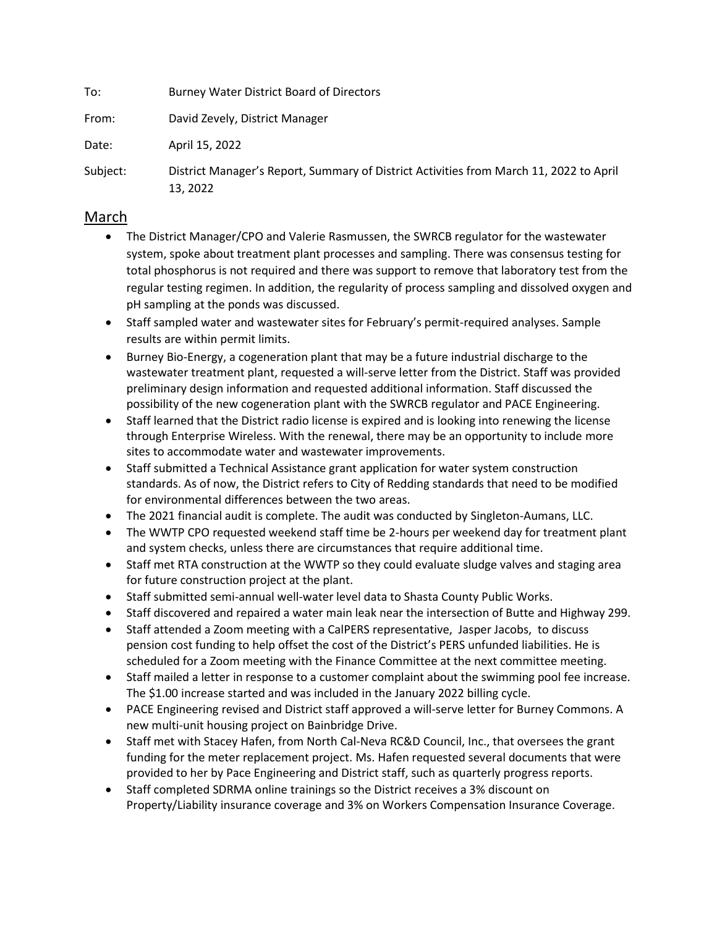To: Burney Water District Board of Directors From: David Zevely, District Manager Date: April 15, 2022 Subject: District Manager's Report, Summary of District Activities from March 11, 2022 to April

## March

13, 2022

- The District Manager/CPO and Valerie Rasmussen, the SWRCB regulator for the wastewater system, spoke about treatment plant processes and sampling. There was consensus testing for total phosphorus is not required and there was support to remove that laboratory test from the regular testing regimen. In addition, the regularity of process sampling and dissolved oxygen and pH sampling at the ponds was discussed.
- Staff sampled water and wastewater sites for February's permit-required analyses. Sample results are within permit limits.
- Burney Bio-Energy, a cogeneration plant that may be a future industrial discharge to the wastewater treatment plant, requested a will-serve letter from the District. Staff was provided preliminary design information and requested additional information. Staff discussed the possibility of the new cogeneration plant with the SWRCB regulator and PACE Engineering.
- Staff learned that the District radio license is expired and is looking into renewing the license through Enterprise Wireless. With the renewal, there may be an opportunity to include more sites to accommodate water and wastewater improvements.
- Staff submitted a Technical Assistance grant application for water system construction standards. As of now, the District refers to City of Redding standards that need to be modified for environmental differences between the two areas.
- The 2021 financial audit is complete. The audit was conducted by Singleton-Aumans, LLC.
- The WWTP CPO requested weekend staff time be 2-hours per weekend day for treatment plant and system checks, unless there are circumstances that require additional time.
- Staff met RTA construction at the WWTP so they could evaluate sludge valves and staging area for future construction project at the plant.
- Staff submitted semi-annual well-water level data to Shasta County Public Works.
- Staff discovered and repaired a water main leak near the intersection of Butte and Highway 299.
- Staff attended a Zoom meeting with a CalPERS representative, Jasper Jacobs, to discuss pension cost funding to help offset the cost of the District's PERS unfunded liabilities. He is scheduled for a Zoom meeting with the Finance Committee at the next committee meeting.
- Staff mailed a letter in response to a customer complaint about the swimming pool fee increase. The \$1.00 increase started and was included in the January 2022 billing cycle.
- PACE Engineering revised and District staff approved a will-serve letter for Burney Commons. A new multi-unit housing project on Bainbridge Drive.
- Staff met with Stacey Hafen, from North Cal-Neva RC&D Council, Inc., that oversees the grant funding for the meter replacement project. Ms. Hafen requested several documents that were provided to her by Pace Engineering and District staff, such as quarterly progress reports.
- Staff completed SDRMA online trainings so the District receives a 3% discount on Property/Liability insurance coverage and 3% on Workers Compensation Insurance Coverage.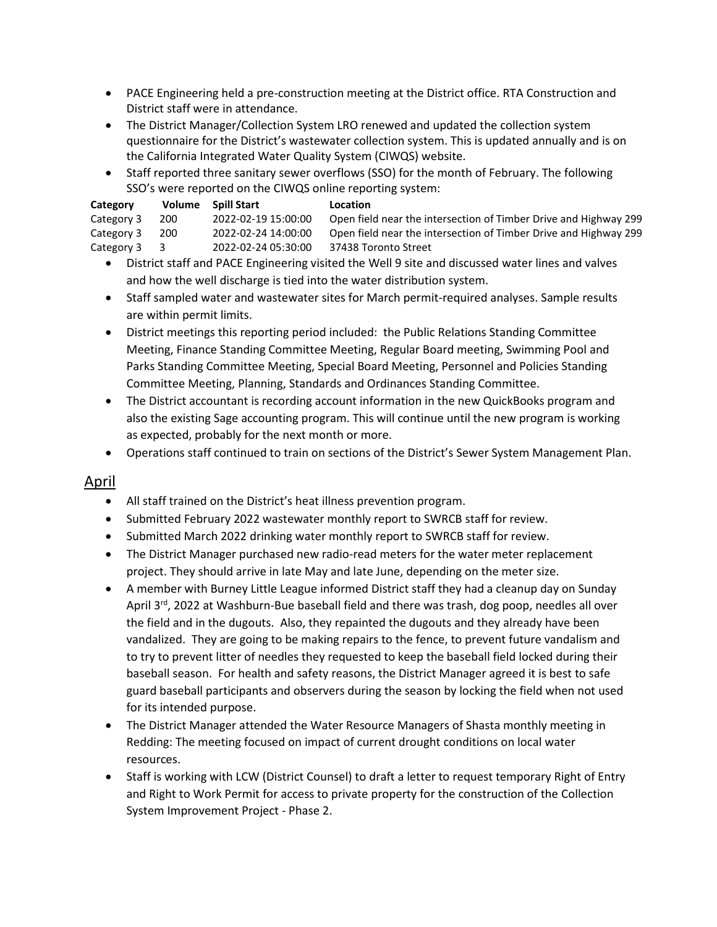- PACE Engineering held a pre-construction meeting at the District office. RTA Construction and District staff were in attendance.
- The District Manager/Collection System LRO renewed and updated the collection system questionnaire for the District's wastewater collection system. This is updated annually and is on the California Integrated Water Quality System (CIWQS) website.
- Staff reported three sanitary sewer overflows (SSO) for the month of February. The following SSO's were reported on the CIWQS online reporting system:

| Category     | Volume | <b>Spill Start</b>  | <b>Location</b>                                                  |
|--------------|--------|---------------------|------------------------------------------------------------------|
| Category 3   | 200    | 2022-02-19 15:00:00 | Open field near the intersection of Timber Drive and Highway 299 |
| Category 3   | 200    | 2022-02-24 14:00:00 | Open field near the intersection of Timber Drive and Highway 299 |
| Category 3 3 |        | 2022-02-24 05:30:00 | 37438 Toronto Street                                             |

- District staff and PACE Engineering visited the Well 9 site and discussed water lines and valves and how the well discharge is tied into the water distribution system.
- Staff sampled water and wastewater sites for March permit-required analyses. Sample results are within permit limits.
- District meetings this reporting period included: the Public Relations Standing Committee Meeting, Finance Standing Committee Meeting, Regular Board meeting, Swimming Pool and Parks Standing Committee Meeting, Special Board Meeting, Personnel and Policies Standing Committee Meeting, Planning, Standards and Ordinances Standing Committee.
- The District accountant is recording account information in the new QuickBooks program and also the existing Sage accounting program. This will continue until the new program is working as expected, probably for the next month or more.
- Operations staff continued to train on sections of the District's Sewer System Management Plan.

## April

- All staff trained on the District's heat illness prevention program.
- Submitted February 2022 wastewater monthly report to SWRCB staff for review.
- Submitted March 2022 drinking water monthly report to SWRCB staff for review.
- The District Manager purchased new radio-read meters for the water meter replacement project. They should arrive in late May and late June, depending on the meter size.
- A member with Burney Little League informed District staff they had a cleanup day on Sunday April 3<sup>rd</sup>, 2022 at Washburn-Bue baseball field and there was trash, dog poop, needles all over the field and in the dugouts. Also, they repainted the dugouts and they already have been vandalized. They are going to be making repairs to the fence, to prevent future vandalism and to try to prevent litter of needles they requested to keep the baseball field locked during their baseball season. For health and safety reasons, the District Manager agreed it is best to safe guard baseball participants and observers during the season by locking the field when not used for its intended purpose.
- The District Manager attended the Water Resource Managers of Shasta monthly meeting in Redding: The meeting focused on impact of current drought conditions on local water resources.
- Staff is working with LCW (District Counsel) to draft a letter to request temporary Right of Entry and Right to Work Permit for access to private property for the construction of the Collection System Improvement Project - Phase 2.